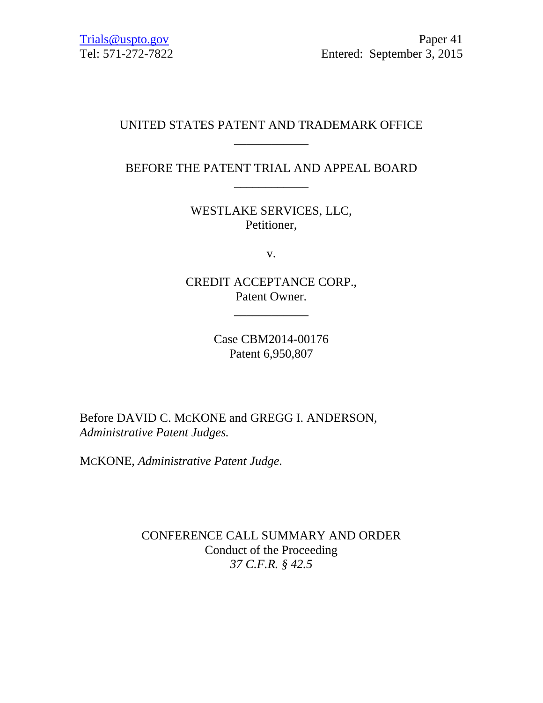# UNITED STATES PATENT AND TRADEMARK OFFICE \_\_\_\_\_\_\_\_\_\_\_\_

# BEFORE THE PATENT TRIAL AND APPEAL BOARD \_\_\_\_\_\_\_\_\_\_\_\_

WESTLAKE SERVICES, LLC, Petitioner,

v.

CREDIT ACCEPTANCE CORP., Patent Owner.

\_\_\_\_\_\_\_\_\_\_\_\_

Case CBM2014-00176 Patent 6,950,807

Before DAVID C. MCKONE and GREGG I. ANDERSON, *Administrative Patent Judges.* 

MCKONE, *Administrative Patent Judge.* 

CONFERENCE CALL SUMMARY AND ORDER Conduct of the Proceeding *37 C.F.R. § 42.5*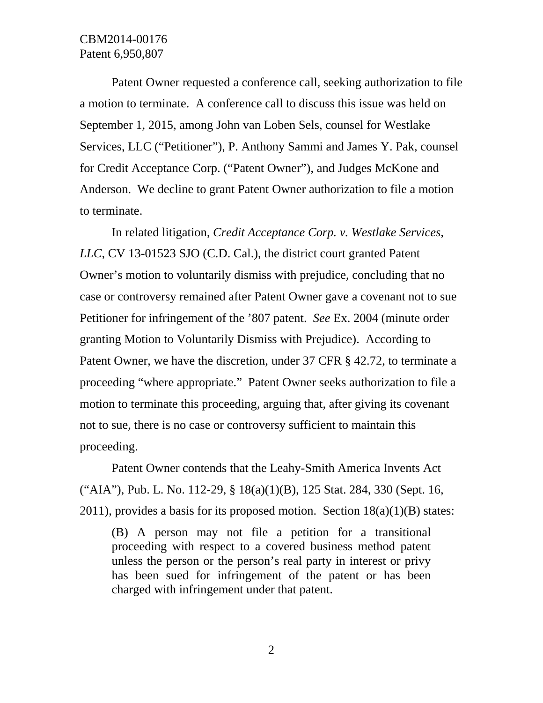# CBM2014-00176 Patent 6,950,807

Patent Owner requested a conference call, seeking authorization to file a motion to terminate. A conference call to discuss this issue was held on September 1, 2015, among John van Loben Sels, counsel for Westlake Services, LLC ("Petitioner"), P. Anthony Sammi and James Y. Pak, counsel for Credit Acceptance Corp. ("Patent Owner"), and Judges McKone and Anderson. We decline to grant Patent Owner authorization to file a motion to terminate.

In related litigation, *Credit Acceptance Corp. v. Westlake Services, LLC*, CV 13-01523 SJO (C.D. Cal.), the district court granted Patent Owner's motion to voluntarily dismiss with prejudice, concluding that no case or controversy remained after Patent Owner gave a covenant not to sue Petitioner for infringement of the '807 patent. *See* Ex. 2004 (minute order granting Motion to Voluntarily Dismiss with Prejudice). According to Patent Owner, we have the discretion, under 37 CFR § 42.72, to terminate a proceeding "where appropriate." Patent Owner seeks authorization to file a motion to terminate this proceeding, arguing that, after giving its covenant not to sue, there is no case or controversy sufficient to maintain this proceeding.

Patent Owner contends that the Leahy-Smith America Invents Act ("AIA"), Pub. L. No. 112-29, § 18(a)(1)(B), 125 Stat. 284, 330 (Sept. 16,  $2011$ ), provides a basis for its proposed motion. Section  $18(a)(1)(B)$  states:

(B) A person may not file a petition for a transitional proceeding with respect to a covered business method patent unless the person or the person's real party in interest or privy has been sued for infringement of the patent or has been charged with infringement under that patent.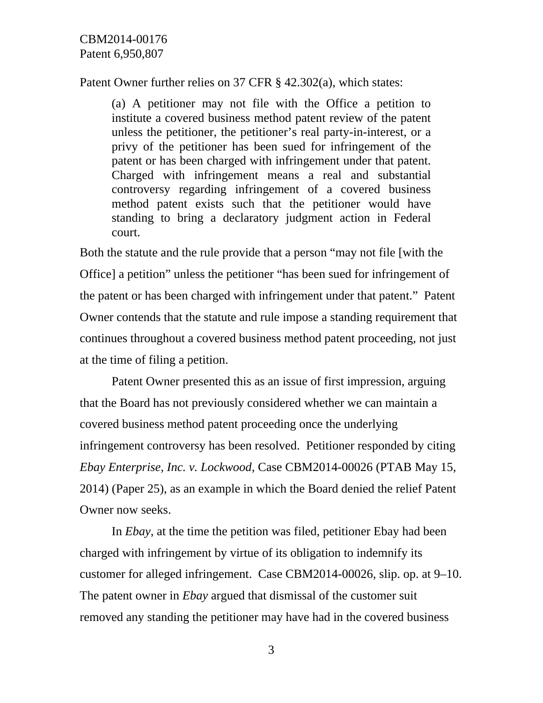Patent Owner further relies on 37 CFR § 42.302(a), which states:

(a) A petitioner may not file with the Office a petition to institute a covered business method patent review of the patent unless the petitioner, the petitioner's real party-in-interest, or a privy of the petitioner has been sued for infringement of the patent or has been charged with infringement under that patent. Charged with infringement means a real and substantial controversy regarding infringement of a covered business method patent exists such that the petitioner would have standing to bring a declaratory judgment action in Federal court.

Both the statute and the rule provide that a person "may not file [with the Office] a petition" unless the petitioner "has been sued for infringement of the patent or has been charged with infringement under that patent." Patent Owner contends that the statute and rule impose a standing requirement that continues throughout a covered business method patent proceeding, not just at the time of filing a petition.

Patent Owner presented this as an issue of first impression, arguing that the Board has not previously considered whether we can maintain a covered business method patent proceeding once the underlying infringement controversy has been resolved. Petitioner responded by citing *Ebay Enterprise, Inc. v. Lockwood*, Case CBM2014-00026 (PTAB May 15, 2014) (Paper 25), as an example in which the Board denied the relief Patent Owner now seeks.

In *Ebay*, at the time the petition was filed, petitioner Ebay had been charged with infringement by virtue of its obligation to indemnify its customer for alleged infringement. Case CBM2014-00026, slip. op. at 9–10. The patent owner in *Ebay* argued that dismissal of the customer suit removed any standing the petitioner may have had in the covered business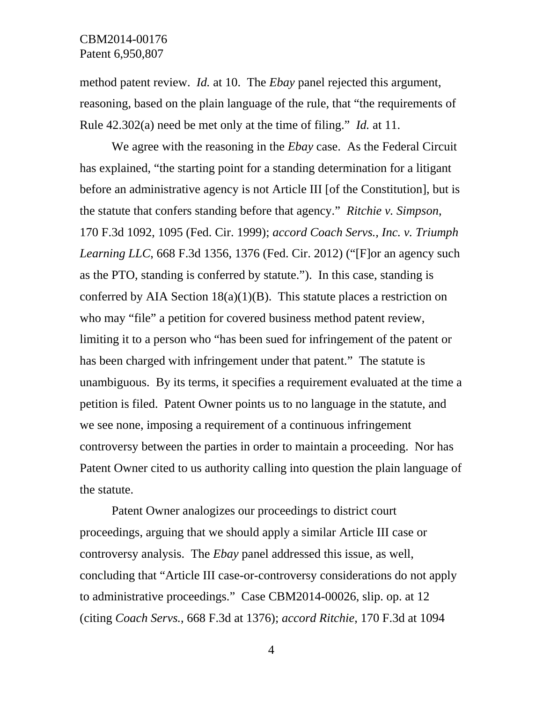method patent review. *Id.* at 10. The *Ebay* panel rejected this argument, reasoning, based on the plain language of the rule, that "the requirements of Rule 42.302(a) need be met only at the time of filing." *Id.* at 11.

We agree with the reasoning in the *Ebay* case. As the Federal Circuit has explained, "the starting point for a standing determination for a litigant before an administrative agency is not Article III [of the Constitution], but is the statute that confers standing before that agency." *Ritchie v. Simpson*, 170 F.3d 1092, 1095 (Fed. Cir. 1999); *accord Coach Servs., Inc. v. Triumph Learning LLC*, 668 F.3d 1356, 1376 (Fed. Cir. 2012) ("[F]or an agency such as the PTO, standing is conferred by statute."). In this case, standing is conferred by AIA Section  $18(a)(1)(B)$ . This statute places a restriction on who may "file" a petition for covered business method patent review, limiting it to a person who "has been sued for infringement of the patent or has been charged with infringement under that patent." The statute is unambiguous. By its terms, it specifies a requirement evaluated at the time a petition is filed. Patent Owner points us to no language in the statute, and we see none, imposing a requirement of a continuous infringement controversy between the parties in order to maintain a proceeding. Nor has Patent Owner cited to us authority calling into question the plain language of the statute.

Patent Owner analogizes our proceedings to district court proceedings, arguing that we should apply a similar Article III case or controversy analysis. The *Ebay* panel addressed this issue, as well, concluding that "Article III case-or-controversy considerations do not apply to administrative proceedings." Case CBM2014-00026, slip. op. at 12 (citing *Coach Servs.*, 668 F.3d at 1376); *accord Ritchie*, 170 F.3d at 1094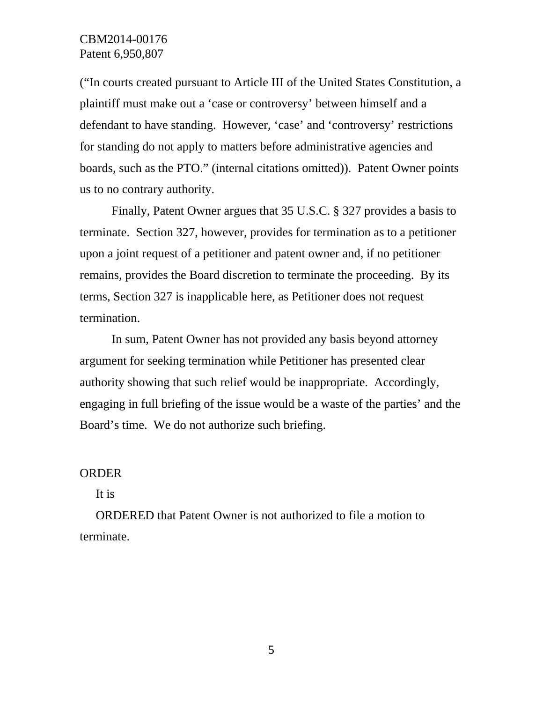### CBM2014-00176 Patent 6,950,807

("In courts created pursuant to Article III of the United States Constitution, a plaintiff must make out a 'case or controversy' between himself and a defendant to have standing. However, 'case' and 'controversy' restrictions for standing do not apply to matters before administrative agencies and boards, such as the PTO." (internal citations omitted)). Patent Owner points us to no contrary authority.

Finally, Patent Owner argues that 35 U.S.C. § 327 provides a basis to terminate. Section 327, however, provides for termination as to a petitioner upon a joint request of a petitioner and patent owner and, if no petitioner remains, provides the Board discretion to terminate the proceeding. By its terms, Section 327 is inapplicable here, as Petitioner does not request termination.

In sum, Patent Owner has not provided any basis beyond attorney argument for seeking termination while Petitioner has presented clear authority showing that such relief would be inappropriate. Accordingly, engaging in full briefing of the issue would be a waste of the parties' and the Board's time. We do not authorize such briefing.

#### ORDER

It is

ORDERED that Patent Owner is not authorized to file a motion to terminate.